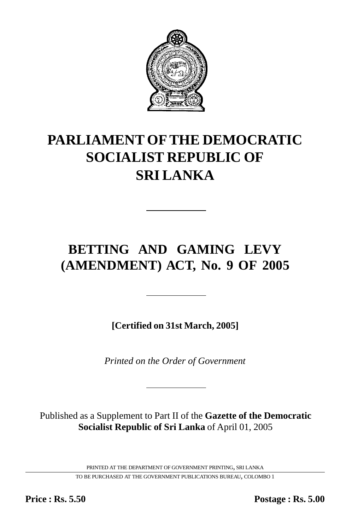

# **PARLIAMENT OF THE DEMOCRATIC SOCIALIST REPUBLIC OF SRI LANKA**

## **BETTING AND GAMING LEVY (AMENDMENT) ACT, No. 9 OF 2005**

**[Certified on 31st March, 2005]**

*Printed on the Order of Government*

Published as a Supplement to Part II of the **Gazette of the Democratic Socialist Republic of Sri Lanka** of April 01, 2005

PRINTED AT THE DEPARTMENT OF GOVERNMENT PRINTING, SRI LANKA

TO BE PURCHASED AT THE GOVERNMENT PUBLICATIONS BUREAU, COLOMBO 1

**Price : Rs. 5.50 Postage : Rs. 5.00**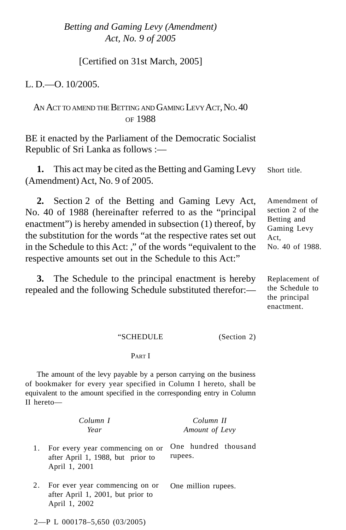*Betting and Gaming Levy (Amendment)* 1 *Act, No. 9 of 2005*

[Certified on 31st March, 2005]

L. D $-$ O. 10/2005.

## AN ACT TO AMEND THE BETTING AND GAMING LEVY ACT, NO. 40 OF 1988

BE it enacted by the Parliament of the Democratic Socialist Republic of Sri Lanka as follows :—

**1.** This act may be cited as the Betting and Gaming Levy (Amendment) Act, No. 9 of 2005. Short title.

**2.** Section 2 of the Betting and Gaming Levy Act, No. 40 of 1988 (hereinafter referred to as the "principal enactment") is hereby amended in subsection (1) thereof, by the substitution for the words "at the respective rates set out in the Schedule to this Act: ," of the words "equivalent to the respective amounts set out in the Schedule to this Act:" Amendment of section 2 of the Betting and Gaming Levy Act, No. 40 of 1988.

**3.** The Schedule to the principal enactment is hereby repealed and the following Schedule substituted therefor:—

Replacement of the Schedule to the principal enactment.

#### "SCHEDULE (Section 2)

#### PART I

The amount of the levy payable by a person carrying on the business of bookmaker for every year specified in Column I hereto, shall be equivalent to the amount specified in the corresponding entry in Column II hereto—

|    | Column I<br>Year                                                                      | Column II<br>Amount of Levy     |
|----|---------------------------------------------------------------------------------------|---------------------------------|
| 1. | For every year commencing on or<br>after April 1, 1988, but prior to<br>April 1, 2001 | One hundred thousand<br>rupees. |
| 2. | For ever year commencing on or<br>after April 1, 2001, but prior to<br>April 1, 2002  | One million rupees.             |
|    | $2-P L 000178 - 5,650 (03/2005)$                                                      |                                 |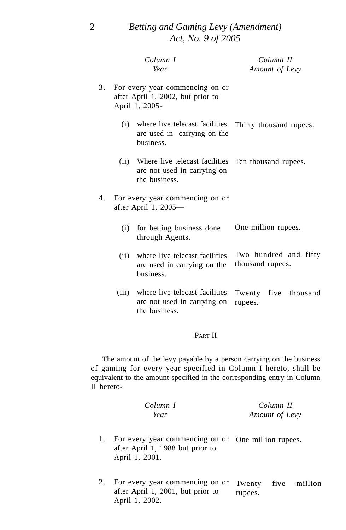|    |       | Column I<br>Year                                                                                         | Column II<br>Amount of Levy               |
|----|-------|----------------------------------------------------------------------------------------------------------|-------------------------------------------|
| 3. |       | For every year commencing on or<br>after April 1, 2002, but prior to<br>April 1, 2005-                   |                                           |
|    |       | (i) where live telecast facilities<br>are used in carrying on the<br>business.                           | Thirty thousand rupees.                   |
|    |       | (ii) Where live telecast facilities Ten thousand rupees.<br>are not used in carrying on<br>the business. |                                           |
| 4. |       | For every year commencing on or<br>after April 1, 2005-                                                  |                                           |
|    | (i)   | for betting business done<br>through Agents.                                                             | One million rupees.                       |
|    | (ii)  | where live telecast facilities<br>are used in carrying on the<br>business.                               | Two hundred and fifty<br>thousand rupees. |
|    | (iii) | where live telecast facilities<br>are not used in carrying on<br>the business.                           | Twenty five thousand<br>rupees.           |

### PART II

The amount of the levy payable by a person carrying on the business of gaming for every year specified in Column I hereto, shall be equivalent to the amount specified in the corresponding entry in Column II hereto-

|    | Column I<br>Year                                                                                          | Column II<br>Amount of Levy          |  |
|----|-----------------------------------------------------------------------------------------------------------|--------------------------------------|--|
| 1. | For every year commencing on or One million rupees.<br>after April 1, 1988 but prior to<br>April 1, 2001. |                                      |  |
| 2. | For every year commencing on or<br>after April 1, 2001, but prior to                                      | five<br>Twenty<br>million<br>rupees. |  |

April 1, 2002.

2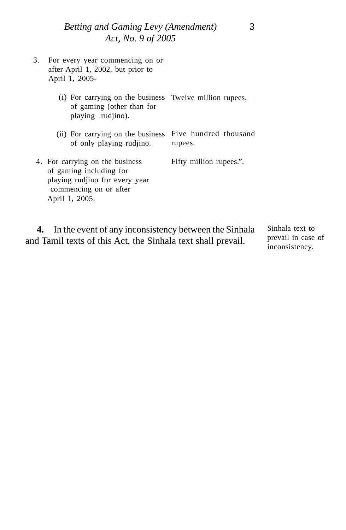*Betting and Gaming Levy (Amendment)* 3 *Act, No. 9 of 2005*

| 3. | For every year commencing on or<br>after April 1, 2002, but prior to<br>April 1, 2005-                                                   |                                  |
|----|------------------------------------------------------------------------------------------------------------------------------------------|----------------------------------|
|    | (i) For carrying on the business Twelve million rupees.<br>of gaming (other than for<br>playing rudjino).                                |                                  |
|    | (ii) For carrying on the business<br>of only playing rudjino.                                                                            | Five hundred thousand<br>rupees. |
|    | 4. For carrying on the business<br>of gaming including for<br>playing rudjino for every year<br>commencing on or after<br>April 1, 2005. | Fifty million rupees.".          |

**4.** In the event of any inconsistency between the Sinhala and Tamil texts of this Act, the Sinhala text shall prevail. Sinhala text to prevail in case of

inconsistency.